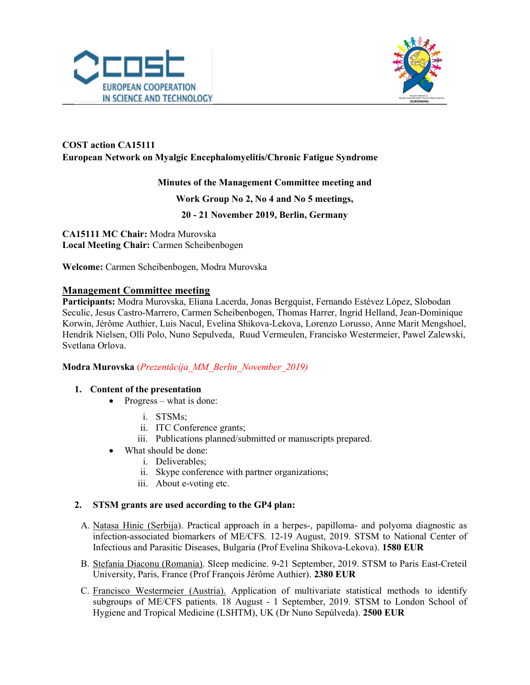



## COST action CA15111 European Network on Myalgic Encephalomyelitis/Chronic Fatigue Syndrome

### Minutes of the Management Committee meeting and

#### Work Group No 2, No 4 and No 5 meetings,

20 - 21 November 2019, Berlin, Germany

CA15111 MC Chair: Modra Murovska Local Meeting Chair: Carmen Scheibenbogen

Welcome: Carmen Scheibenbogen, Modra Murovska

#### Management Committee meeting

Participants: Modra Murovska, Eliana Lacerda, Jonas Bergquist, Fernando Estévez López, Slobodan Seculic, Jesus Castro-Marrero, Carmen Scheibenbogen, Thomas Harrer, Ingrid Helland, Jean-Dominique Korwin, Jérôme Authier, Luis Nacul, Evelina Shikova-Lekova, Lorenzo Lorusso, Anne Marit Mengshoel, Hendrik Nielsen, Olli Polo, Nuno Sepulveda, Ruud Vermeulen, Francisko Westermeier, Pawel Zalewski, Svetlana Orlova.

#### Modra Murovska (Prezentācija\_MM\_Berlin\_November\_2019)

#### 1. Content of the presentation

- Progress what is done:
	- i. STSMs;
	- ii. ITC Conference grants;
	- iii. Publications planned/submitted or manuscripts prepared.
- What should be done:
	- i. Deliverables;
	- ii. Skype conference with partner organizations;
	- iii. About e-voting etc.

#### 2. STSM grants are used according to the GP4 plan:

- A. Natasa Hinic (Serbija). Practical approach in a herpes-, papilloma- and polyoma diagnostic as infection-associated biomarkers of ME/CFS. 12-19 August, 2019. STSM to National Center of Infectious and Parasitic Diseases, Bulgaria (Prof Evelina Shikova-Lekova). 1580 EUR
- B. Stefania Diaconu (Romania). Sleep medicine. 9-21 September, 2019. STSM to Paris East-Creteil University, Paris, France (Prof François Jérôme Authier). 2380 EUR
- C. Francisco Westermeier (Austria). Application of multivariate statistical methods to identify subgroups of ME/CFS patients. 18 August - 1 September, 2019. STSM to London School of Hygiene and Tropical Medicine (LSHTM), UK (Dr Nuno Sepúlveda). 2500 EUR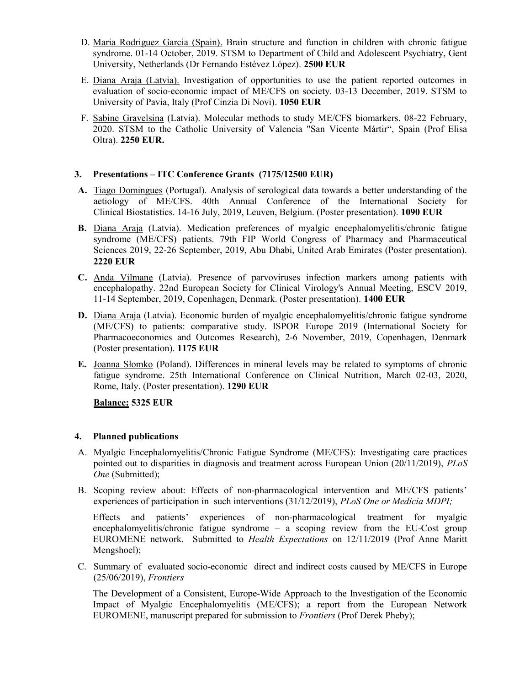- D. Maria Rodriguez Garcia (Spain). Brain structure and function in children with chronic fatigue syndrome. 01-14 October, 2019. STSM to Department of Child and Adolescent Psychiatry, Gent University, Netherlands (Dr Fernando Estévez López). 2500 EUR
- E. Diana Araja (Latvia). Investigation of opportunities to use the patient reported outcomes in evaluation of socio-economic impact of ME/CFS on society. 03-13 December, 2019. STSM to University of Pavia, Italy (Prof Cinzia Di Novi). 1050 EUR
- F. Sabine Gravelsina (Latvia). Molecular methods to study ME/CFS biomarkers. 08-22 February, 2020. STSM to the Catholic University of Valencia "San Vicente Mártir", Spain (Prof Elisa Oltra). 2250 EUR.

#### 3. Presentations – ITC Conference Grants (7175/12500 EUR)

- A. Tiago Domingues (Portugal). Analysis of serological data towards a better understanding of the aetiology of ME/CFS. 40th Annual Conference of the International Society for Clinical Biostatistics. 14-16 July, 2019, Leuven, Belgium. (Poster presentation). 1090 EUR
- B. Diana Araja (Latvia). Medication preferences of myalgic encephalomyelitis/chronic fatigue syndrome (ME/CFS) patients. 79th FIP World Congress of Pharmacy and Pharmaceutical Sciences 2019, 22-26 September, 2019, Abu Dhabi, United Arab Emirates (Poster presentation). 2220 EUR
- C. Anda Vilmane (Latvia). Presence of parvoviruses infection markers among patients with encephalopathy. 22nd European Society for Clinical Virology's Annual Meeting, ESCV 2019, 11-14 September, 2019, Copenhagen, Denmark. (Poster presentation). 1400 EUR
- D. Diana Araja (Latvia). Economic burden of myalgic encephalomyelitis/chronic fatigue syndrome (ME/CFS) to patients: comparative study. ISPOR Europe 2019 (International Society for Pharmacoeconomics and Outcomes Research), 2-6 November, 2019, Copenhagen, Denmark (Poster presentation). 1175 EUR
- E. Joanna Słomko (Poland). Differences in mineral levels may be related to symptoms of chronic fatigue syndrome. 25th International Conference on Clinical Nutrition, March 02-03, 2020, Rome, Italy. (Poster presentation). 1290 EUR

Balance: 5325 EUR

#### 4. Planned publications

- A. Myalgic Encephalomyelitis/Chronic Fatigue Syndrome (ME/CFS): Investigating care practices pointed out to disparities in diagnosis and treatment across European Union (20/11/2019), PLoS One (Submitted);
- B. Scoping review about: Effects of non-pharmacological intervention and ME/CFS patients' experiences of participation in such interventions (31/12/2019), *PLoS One or Medicia MDPI*;

Effects and patients' experiences of non-pharmacological treatment for myalgic encephalomyelitis/chronic fatigue syndrome – a scoping review from the EU-Cost group EUROMENE network. Submitted to Health Expectations on 12/11/2019 (Prof Anne Maritt Mengshoel);

C. Summary of evaluated socio-economic direct and indirect costs caused by ME/CFS in Europe (25/06/2019), Frontiers

The Development of a Consistent, Europe-Wide Approach to the Investigation of the Economic Impact of Myalgic Encephalomyelitis (ME/CFS); a report from the European Network EUROMENE, manuscript prepared for submission to Frontiers (Prof Derek Pheby);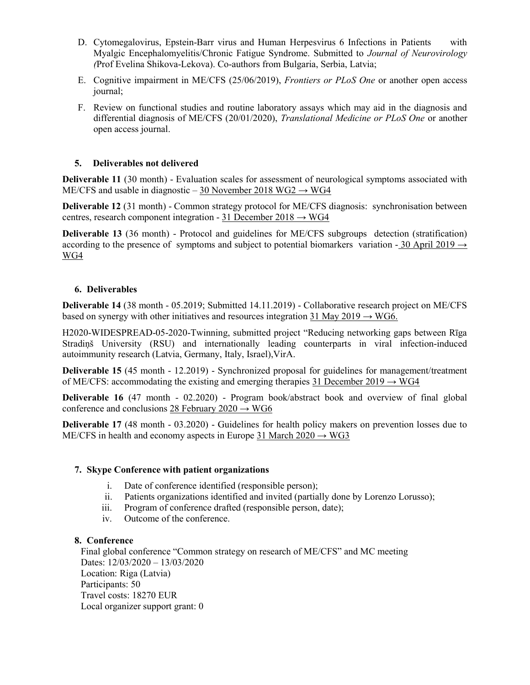- D. Cytomegalovirus, Epstein-Barr virus and Human Herpesvirus 6 Infections in Patients with Myalgic Encephalomyelitis/Chronic Fatigue Syndrome. Submitted to *Journal of Neurovirology* (Prof Evelina Shikova-Lekova). Co-authors from Bulgaria, Serbia, Latvia;
- E. Cognitive impairment in ME/CFS (25/06/2019), Frontiers or PLoS One or another open access journal;
- F. Review on functional studies and routine laboratory assays which may aid in the diagnosis and differential diagnosis of ME/CFS (20/01/2020), Translational Medicine or PLoS One or another open access journal.

#### 5. Deliverables not delivered

Deliverable 11 (30 month) - Evaluation scales for assessment of neurological symptoms associated with ME/CFS and usable in diagnostic – 30 November 2018 WG2  $\rightarrow$  WG4

Deliverable 12 (31 month) - Common strategy protocol for ME/CFS diagnosis: synchronisation between centres, research component integration - 31 December 2018  $\rightarrow$  WG4

Deliverable 13 (36 month) - Protocol and guidelines for ME/CFS subgroups detection (stratification) according to the presence of symptoms and subject to potential biomarkers variation - 30 April 2019  $\rightarrow$ WG4

#### 6. Deliverables

Deliverable 14 (38 month - 05.2019; Submitted 14.11.2019) - Collaborative research project on ME/CFS based on synergy with other initiatives and resources integration 31 May 2019  $\rightarrow$  WG6.

H2020-WIDESPREAD-05-2020-Twinning, submitted project "Reducing networking gaps between Rīga Stradiņš University (RSU) and internationally leading counterparts in viral infection-induced autoimmunity research (Latvia, Germany, Italy, Israel),VirA.

Deliverable 15 (45 month - 12.2019) - Synchronized proposal for guidelines for management/treatment of ME/CFS: accommodating the existing and emerging therapies 31 December 2019  $\rightarrow$  WG4

Deliverable 16 (47 month - 02.2020) - Program book/abstract book and overview of final global conference and conclusions  $28$  February  $2020 \rightarrow WG6$ 

Deliverable 17 (48 month - 03.2020) - Guidelines for health policy makers on prevention losses due to ME/CFS in health and economy aspects in Europe 31 March  $2020 \rightarrow WG3$ 

#### 7. Skype Conference with patient organizations

- i. Date of conference identified (responsible person);
- ii. Patients organizations identified and invited (partially done by Lorenzo Lorusso);
- iii. Program of conference drafted (responsible person, date);
- iv. Outcome of the conference.

#### 8. Conference

Final global conference "Common strategy on research of ME/CFS" and MC meeting Dates: 12/03/2020 – 13/03/2020 Location: Riga (Latvia) Participants: 50 Travel costs: 18270 EUR Local organizer support grant: 0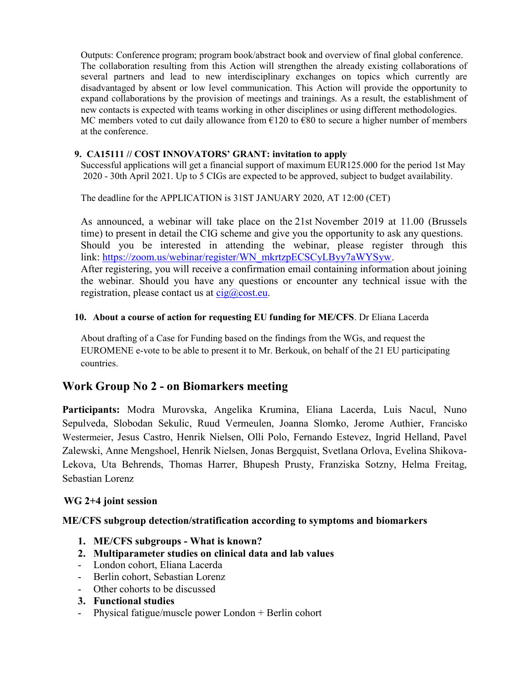Outputs: Conference program; program book/abstract book and overview of final global conference. The collaboration resulting from this Action will strengthen the already existing collaborations of several partners and lead to new interdisciplinary exchanges on topics which currently are disadvantaged by absent or low level communication. This Action will provide the opportunity to expand collaborations by the provision of meetings and trainings. As a result, the establishment of new contacts is expected with teams working in other disciplines or using different methodologies. MC members voted to cut daily allowance from  $\epsilon$ 120 to  $\epsilon$ 80 to secure a higher number of members at the conference.

#### 9. CA15111 // COST INNOVATORS' GRANT: invitation to apply

Successful applications will get a financial support of maximum EUR125.000 for the period 1st May 2020 - 30th April 2021. Up to 5 CIGs are expected to be approved, subject to budget availability.

The deadline for the APPLICATION is 31ST JANUARY 2020, AT 12:00 (CET)

As announced, a webinar will take place on the 21st November 2019 at 11.00 (Brussels time) to present in detail the CIG scheme and give you the opportunity to ask any questions. Should you be interested in attending the webinar, please register through this link: https://zoom.us/webinar/register/WN\_mkrtzpECSCyLByy7aWYSyw. After registering, you will receive a confirmation email containing information about joining the webinar. Should you have any questions or encounter any technical issue with the registration, please contact us at  $cig@cost.eu$ .

#### 10. About a course of action for requesting EU funding for ME/CFS. Dr Eliana Lacerda

About drafting of a Case for Funding based on the findings from the WGs, and request the EUROMENE e-vote to be able to present it to Mr. Berkouk, on behalf of the 21 EU participating countries.

## Work Group No 2 - on Biomarkers meeting

Participants: Modra Murovska, Angelika Krumina, Eliana Lacerda, Luis Nacul, Nuno Sepulveda, Slobodan Sekulic, Ruud Vermeulen, Joanna Slomko, Jerome Authier, Francisko Westermeier, Jesus Castro, Henrik Nielsen, Olli Polo, Fernando Estevez, Ingrid Helland, Pavel Zalewski, Anne Mengshoel, Henrik Nielsen, Jonas Bergquist, Svetlana Orlova, Evelina Shikova-Lekova, Uta Behrends, Thomas Harrer, Bhupesh Prusty, Franziska Sotzny, Helma Freitag, Sebastian Lorenz

#### WG 2+4 joint session

#### ME/CFS subgroup detection/stratification according to symptoms and biomarkers

- 1. ME/CFS subgroups What is known?
- 2. Multiparameter studies on clinical data and lab values
- London cohort, Eliana Lacerda
- Berlin cohort, Sebastian Lorenz
- Other cohorts to be discussed
- 3. Functional studies
- Physical fatigue/muscle power London + Berlin cohort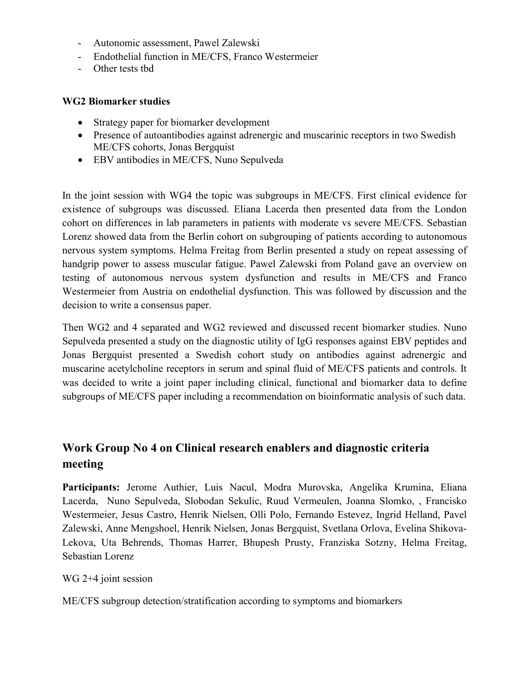- Autonomic assessment, Pawel Zalewski
- Endothelial function in ME/CFS, Franco Westermeier
- Other tests tbd

### WG2 Biomarker studies

- Strategy paper for biomarker development
- Presence of autoantibodies against adrenergic and muscarinic receptors in two Swedish ME/CFS cohorts, Jonas Bergquist
- EBV antibodies in ME/CFS, Nuno Sepulveda

In the joint session with WG4 the topic was subgroups in ME/CFS. First clinical evidence for existence of subgroups was discussed. Eliana Lacerda then presented data from the London cohort on differences in lab parameters in patients with moderate vs severe ME/CFS. Sebastian Lorenz showed data from the Berlin cohort on subgrouping of patients according to autonomous nervous system symptoms. Helma Freitag from Berlin presented a study on repeat assessing of handgrip power to assess muscular fatigue. Pawel Zalewski from Poland gave an overview on testing of autonomous nervous system dysfunction and results in ME/CFS and Franco Westermeier from Austria on endothelial dysfunction. This was followed by discussion and the decision to write a consensus paper.

Then WG2 and 4 separated and WG2 reviewed and discussed recent biomarker studies. Nuno Sepulveda presented a study on the diagnostic utility of IgG responses against EBV peptides and Jonas Bergquist presented a Swedish cohort study on antibodies against adrenergic and muscarine acetylcholine receptors in serum and spinal fluid of ME/CFS patients and controls. It was decided to write a joint paper including clinical, functional and biomarker data to define subgroups of ME/CFS paper including a recommendation on bioinformatic analysis of such data.

# Work Group No 4 on Clinical research enablers and diagnostic criteria meeting

Participants: Jerome Authier, Luis Nacul, Modra Murovska, Angelika Krumina, Eliana Lacerda, Nuno Sepulveda, Slobodan Sekulic, Ruud Vermeulen, Joanna Slomko, , Francisko Westermeier, Jesus Castro, Henrik Nielsen, Olli Polo, Fernando Estevez, Ingrid Helland, Pavel Zalewski, Anne Mengshoel, Henrik Nielsen, Jonas Bergquist, Svetlana Orlova, Evelina Shikova-Lekova, Uta Behrends, Thomas Harrer, Bhupesh Prusty, Franziska Sotzny, Helma Freitag, Sebastian Lorenz

### WG 2+4 joint session

ME/CFS subgroup detection/stratification according to symptoms and biomarkers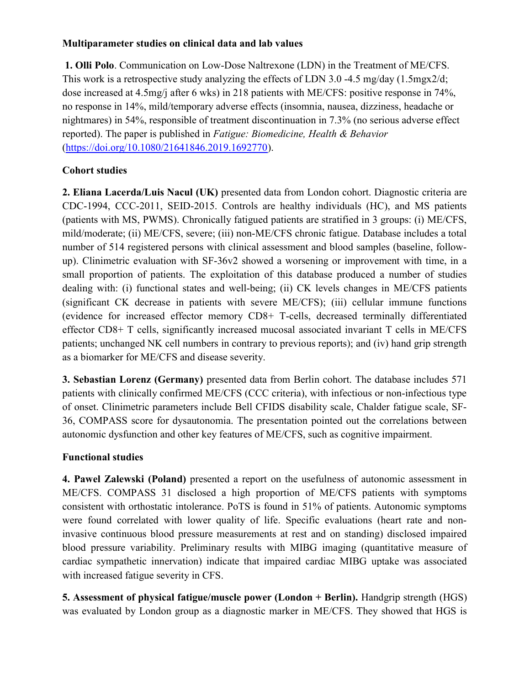### Multiparameter studies on clinical data and lab values

 1. Olli Polo. Communication on Low-Dose Naltrexone (LDN) in the Treatment of ME/CFS. This work is a retrospective study analyzing the effects of LDN 3.0 -4.5 mg/day (1.5mgx2/d; dose increased at 4.5mg/j after 6 wks) in 218 patients with ME/CFS: positive response in 74%, no response in 14%, mild/temporary adverse effects (insomnia, nausea, dizziness, headache or nightmares) in 54%, responsible of treatment discontinuation in 7.3% (no serious adverse effect reported). The paper is published in Fatigue: Biomedicine, Health & Behavior (https://doi.org/10.1080/21641846.2019.1692770).

### Cohort studies

2. Eliana Lacerda/Luis Nacul (UK) presented data from London cohort. Diagnostic criteria are CDC-1994, CCC-2011, SEID-2015. Controls are healthy individuals (HC), and MS patients (patients with MS, PWMS). Chronically fatigued patients are stratified in 3 groups: (i) ME/CFS, mild/moderate; (ii) ME/CFS, severe; (iii) non-ME/CFS chronic fatigue. Database includes a total number of 514 registered persons with clinical assessment and blood samples (baseline, followup). Clinimetric evaluation with SF-36v2 showed a worsening or improvement with time, in a small proportion of patients. The exploitation of this database produced a number of studies dealing with: (i) functional states and well-being; (ii) CK levels changes in ME/CFS patients (significant CK decrease in patients with severe ME/CFS); (iii) cellular immune functions (evidence for increased effector memory CD8+ T-cells, decreased terminally differentiated effector CD8+ T cells, significantly increased mucosal associated invariant T cells in ME/CFS patients; unchanged NK cell numbers in contrary to previous reports); and (iv) hand grip strength as a biomarker for ME/CFS and disease severity.

3. Sebastian Lorenz (Germany) presented data from Berlin cohort. The database includes 571 patients with clinically confirmed ME/CFS (CCC criteria), with infectious or non-infectious type of onset. Clinimetric parameters include Bell CFIDS disability scale, Chalder fatigue scale, SF-36, COMPASS score for dysautonomia. The presentation pointed out the correlations between autonomic dysfunction and other key features of ME/CFS, such as cognitive impairment.

### Functional studies

4. Pawel Zalewski (Poland) presented a report on the usefulness of autonomic assessment in ME/CFS. COMPASS 31 disclosed a high proportion of ME/CFS patients with symptoms consistent with orthostatic intolerance. PoTS is found in 51% of patients. Autonomic symptoms were found correlated with lower quality of life. Specific evaluations (heart rate and noninvasive continuous blood pressure measurements at rest and on standing) disclosed impaired blood pressure variability. Preliminary results with MIBG imaging (quantitative measure of cardiac sympathetic innervation) indicate that impaired cardiac MIBG uptake was associated with increased fatigue severity in CFS.

5. Assessment of physical fatigue/muscle power (London + Berlin). Handgrip strength (HGS) was evaluated by London group as a diagnostic marker in ME/CFS. They showed that HGS is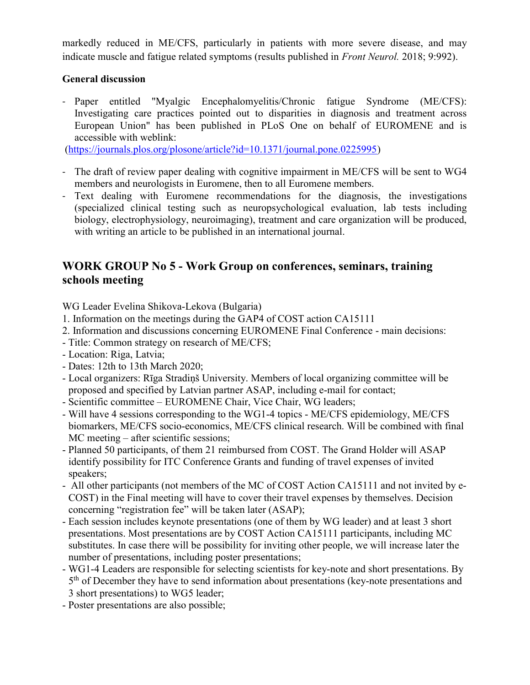markedly reduced in ME/CFS, particularly in patients with more severe disease, and may indicate muscle and fatigue related symptoms (results published in Front Neurol. 2018; 9:992).

### General discussion

- Paper entitled "Myalgic Encephalomyelitis/Chronic fatigue Syndrome (ME/CFS): Investigating care practices pointed out to disparities in diagnosis and treatment across European Union" has been published in PLoS One on behalf of EUROMENE and is accessible with weblink:

(https://journals.plos.org/plosone/article?id=10.1371/journal.pone.0225995)

- The draft of review paper dealing with cognitive impairment in ME/CFS will be sent to WG4 members and neurologists in Euromene, then to all Euromene members.
- Text dealing with Euromene recommendations for the diagnosis, the investigations (specialized clinical testing such as neuropsychological evaluation, lab tests including biology, electrophysiology, neuroimaging), treatment and care organization will be produced, with writing an article to be published in an international journal.

## WORK GROUP No 5 - Work Group on conferences, seminars, training schools meeting

WG Leader Evelina Shikova-Lekova (Bulgaria)

- 1. Information on the meetings during the GAP4 of COST action CA15111
- 2. Information and discussions concerning EUROMENE Final Conference main decisions:
- Title: Common strategy on research of ME/CFS;
- Location: Riga, Latvia;
- Dates: 12th to 13th March 2020;
- Local organizers: Rīga Stradiņš University. Members of local organizing committee will be proposed and specified by Latvian partner ASAP, including e-mail for contact;
- Scientific committee EUROMENE Chair, Vice Chair, WG leaders;
- Will have 4 sessions corresponding to the WG1-4 topics ME/CFS epidemiology, ME/CFS biomarkers, ME/CFS socio-economics, ME/CFS clinical research. Will be combined with final MC meeting – after scientific sessions;
- Planned 50 participants, of them 21 reimbursed from COST. The Grand Holder will ASAP identify possibility for ITC Conference Grants and funding of travel expenses of invited speakers;
- All other participants (not members of the MC of COST Action CA15111 and not invited by e-COST) in the Final meeting will have to cover their travel expenses by themselves. Decision concerning "registration fee" will be taken later (ASAP);
- Each session includes keynote presentations (one of them by WG leader) and at least 3 short presentations. Most presentations are by COST Action CA15111 participants, including MC substitutes. In case there will be possibility for inviting other people, we will increase later the number of presentations, including poster presentations;
- WG1-4 Leaders are responsible for selecting scientists for key-note and short presentations. By 5<sup>th</sup> of December they have to send information about presentations (key-note presentations and 3 short presentations) to WG5 leader;
- Poster presentations are also possible;